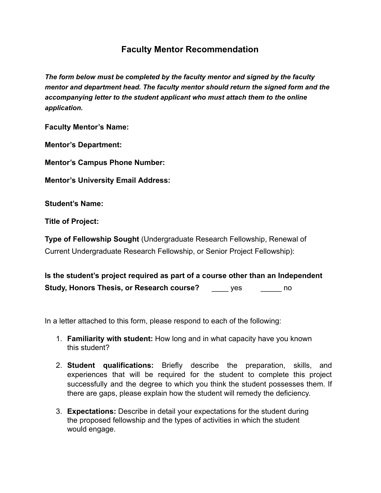## **Faculty Mentor Recommendation**

*The form below must be completed by the faculty mentor and signed by the faculty mentor and department head. The faculty mentor should return the signed form and the accompanying letter to the student applicant who must attach them to the online application.*

**Faculty Mentor's Name:** 

**Mentor's Department:** 

**Mentor's Campus Phone Number:** 

**Mentor's University Email Address:** 

**Student's Name:** 

**Title of Project:** 

**Type of Fellowship Sought** (Undergraduate Research Fellowship, Renewal of Current Undergraduate Research Fellowship, or Senior Project Fellowship):

**Is the student's project required as part of a course other than an Independent Study, Honors Thesis, or Research course?** These are no

In a letter attached to this form, please respond to each of the following:

- 1. **Familiarity with student:** How long and in what capacity have you known this student?
- 2. **Student qualifications:** Briefly describe the preparation, skills, and experiences that will be required for the student to complete this project successfully and the degree to which you think the student possesses them. If there are gaps, please explain how the student will remedy the deficiency.
- 3. **Expectations:** Describe in detail your expectations for the student during the proposed fellowship and the types of activities in which the student would engage.